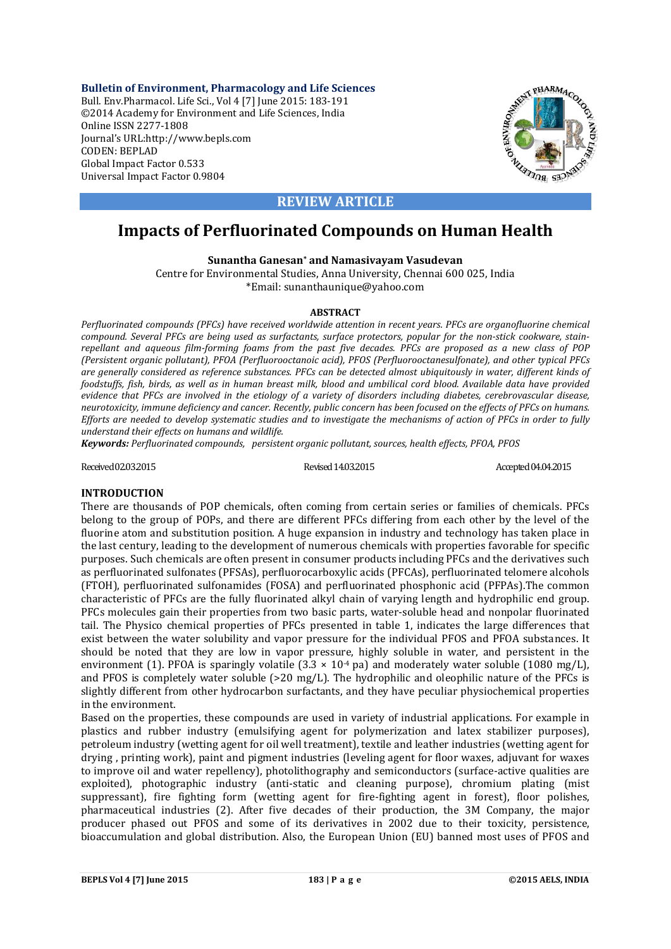**Bulletin of Environment, Pharmacology and Life Sciences** Bull. Env.Pharmacol. Life Sci., Vol 4 [7] June 2015: 183-191 ©2014 Academy for Environment and Life Sciences, India Online ISSN 2277-1808 Journal's URL:http://www.bepls.com CODEN: BEPLAD Global Impact Factor 0.533 Universal Impact Factor 0.9804



## **REVIEW ARTICLE**

# **Impacts of Perfluorinated Compounds on Human Health**

**Sunantha Ganesan\* and Namasivayam Vasudevan**

Centre for Environmental Studies, Anna University, Chennai 600 025, India \*Email: sunanthaunique@yahoo.com

#### **ABSTRACT**

*Perfluorinated compounds (PFCs) have received worldwide attention in recent years. PFCs are organofluorine chemical compound. Several PFCs are being used as surfactants, surface protectors, popular for the non-stick cookware, stainrepellant and aqueous film-forming foams from the past five decades. PFCs are proposed as a new class of POP (Persistent organic pollutant), PFOA (Perfluorooctanoic acid), PFOS (Perfluorooctanesulfonate), and other typical PFCs are generally considered as reference substances. PFCs can be detected almost ubiquitously in water, different kinds of foodstuffs, fish, birds, as well as in human breast milk, blood and umbilical cord blood. Available data have provided evidence that PFCs are involved in the etiology of a variety of disorders including diabetes, cerebrovascular disease, neurotoxicity, immune deficiency and cancer. Recently, public concern has been focused on the effects of PFCs on humans. Efforts are needed to develop systematic studies and to investigate the mechanisms of action of PFCs in order to fully understand their effects on humans and wildlife.*

*Keywords: Perfluorinated compounds, persistent organic pollutant, sources, health effects, PFOA, PFOS*

Received02.03.2015 Revised14.03.2015 Accepted04.04.2015

## **INTRODUCTION**

There are thousands of POP chemicals, often coming from certain series or families of chemicals. PFCs belong to the group of POPs, and there are different PFCs differing from each other by the level of the fluorine atom and substitution position. A huge expansion in industry and technology has taken place in the last century, leading to the development of numerous chemicals with properties favorable for specific purposes. Such chemicals are often present in consumer products including PFCs and the derivatives such as perfluorinated sulfonates (PFSAs), perfluorocarboxylic acids (PFCAs), perfluorinated telomere alcohols (FTOH), perfluorinated sulfonamides (FOSA) and perfluorinated phosphonic acid (PFPAs). The common characteristic of PFCs are the fully fluorinated alkyl chain of varying length and hydrophilic end group. PFCs molecules gain their properties from two basic parts, water-soluble head and nonpolar fluorinated tail. The Physico chemical properties of PFCs presented in table 1, indicates the large differences that exist between the water solubility and vapor pressure for the individual PFOS and PFOA substances. It should be noted that they are low in vapor pressure, highly soluble in water, and persistent in the environment (1). PFOA is sparingly volatile  $(3.3 \times 10^{-4} \text{ pa})$  and moderately water soluble  $(1080 \text{ mg/L})$ , and PFOS is completely water soluble  $(>20$  mg/L). The hydrophilic and oleophilic nature of the PFCs is slightly different from other hydrocarbon surfactants, and they have peculiar physiochemical properties in the environment.

Based on the properties, these compounds are used in variety of industrial applications. For example in plastics and rubber industry (emulsifying agent for polymerization and latex stabilizer purposes), petroleum industry (wetting agent for oil well treatment), textile and leather industries (wetting agent for drying, printing work), paint and pigment industries (leveling agent for floor waxes, adjuvant for waxes to improve oil and water repellency), photolithography and semiconductors (surface-active qualities are exploited), photographic industry (anti-static and cleaning purpose), chromium plating (mist suppressant), fire fighting form (wetting agent for fire-fighting agent in forest), floor polishes, pharmaceutical industries (2). After five decades of their production, the 3M Company, the major producer phased out PFOS and some of its derivatives in 2002 due to their toxicity, persistence, bioaccumulation and global distribution. Also, the European Union (EU) banned most uses of PFOS and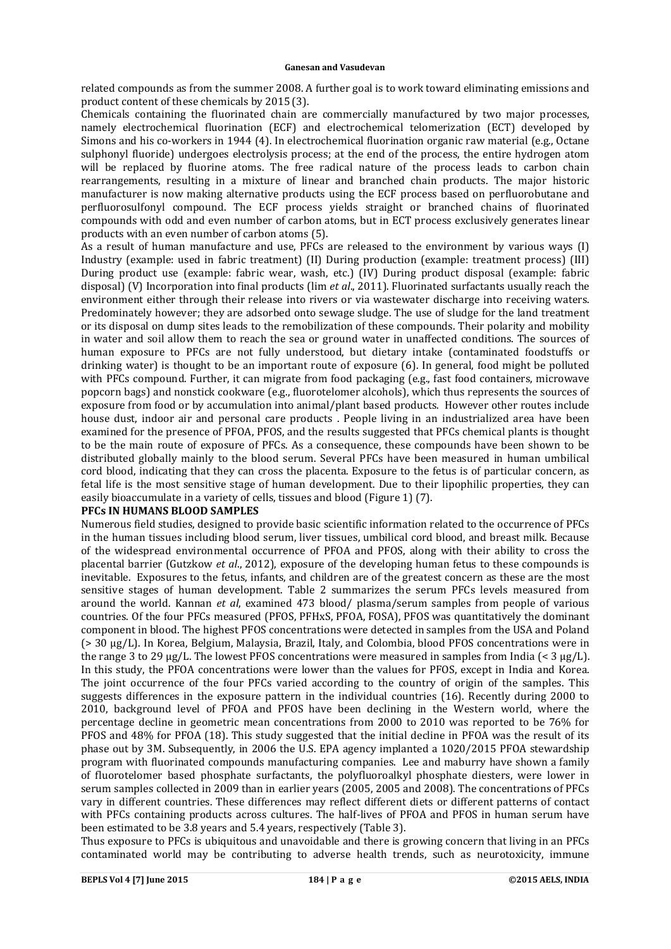related compounds as from the summer 2008. A further goal is to work toward eliminating emissions and product content of these chemicals by 2015 (3).

Chemicals containing the fluorinated chain are commercially manufactured by two major processes, namely electrochemical fluorination (ECF) and electrochemical telomerization (ECT) developed by Simons and his co-workers in 1944 (4). In electrochemical fluorination organic raw material (e.g., Octane sulphonyl fluoride) undergoes electrolysis process; at the end of the process, the entire hydrogen atom will be replaced by fluorine atoms. The free radical nature of the process leads to carbon chain rearrangements, resulting in a mixture of linear and branched chain products. The major historic manufacturer is now making alternative products using the ECF process based on perfluorobutane and perfluorosulfonyl compound. The ECF process yields straight or branched chains of fluorinated compounds with odd and even number of carbon atoms, but in ECT process exclusively generates linear products with an even number of carbon atoms (5).

As a result of human manufacture and use,  $PFCs$  are released to the environment by various ways  $(I)$ Industry (example: used in fabric treatment) (II) During production (example: treatment process) (III) During product use (example: fabric wear, wash, etc.) (IV) During product disposal (example: fabric disposal) (V) Incorporation into final products (lim *et al.*, 2011). Fluorinated surfactants usually reach the environment either through their release into rivers or via wastewater discharge into receiving waters. Predominately however; they are adsorbed onto sewage sludge. The use of sludge for the land treatment or its disposal on dump sites leads to the remobilization of these compounds. Their polarity and mobility in water and soil allow them to reach the sea or ground water in unaffected conditions. The sources of human exposure to PFCs are not fully understood, but dietary intake (contaminated foodstuffs or drinking water) is thought to be an important route of exposure  $(6)$ . In general, food might be polluted with PFCs compound. Further, it can migrate from food packaging (e.g., fast food containers, microwave popcorn bags) and nonstick cookware (e.g., fluorotelomer alcohols), which thus represents the sources of exposure from food or by accumulation into animal/plant based products. However other routes include house dust, indoor air and personal care products . People living in an industrialized area have been examined for the presence of PFOA, PFOS, and the results suggested that PFCs chemical plants is thought to be the main route of exposure of PFCs. As a consequence, these compounds have been shown to be distributed globally mainly to the blood serum. Several PFCs have been measured in human umbilical cord blood, indicating that they can cross the placenta. Exposure to the fetus is of particular concern, as fetal life is the most sensitive stage of human development. Due to their lipophilic properties, they can easily bioaccumulate in a variety of cells, tissues and blood (Figure 1) (7).

## **PFCs IN HUMANS BLOOD SAMPLES**

Numerous field studies, designed to provide basic scientific information related to the occurrence of PFCs in the human tissues including blood serum, liver tissues, umbilical cord blood, and breast milk. Because of the widespread environmental occurrence of PFOA and PFOS, along with their ability to cross the placental barrier (Gutzkow *et al.*, 2012), exposure of the developing human fetus to these compounds is inevitable. Exposures to the fetus, infants, and children are of the greatest concern as these are the most sensitive stages of human development. Table 2 summarizes the serum PFCs levels measured from around the world. Kannan *et al*, examined 473 blood/ plasma/serum samples from people of various countries. Of the four PFCs measured (PFOS, PFHxS, PFOA, FOSA), PFOS was quantitatively the dominant component in blood. The highest PFOS concentrations were detected in samples from the USA and Poland (> 30 µg/L). In Korea, Belgium, Malaysia, Brazil, Italy, and Colombia, blood PFOS concentrations were in the range 3 to 29  $\mu$ g/L. The lowest PFOS concentrations were measured in samples from India (< 3  $\mu$ g/L). In this study, the PFOA concentrations were lower than the values for PFOS, except in India and Korea. The joint occurrence of the four PFCs varied according to the country of origin of the samples. This suggests differences in the exposure pattern in the individual countries (16). Recently during 2000 to 2010, background level of PFOA and PFOS have been declining in the Western world, where the percentage decline in geometric mean concentrations from  $2000$  to  $2010$  was reported to be  $76\%$  for PFOS and 48% for PFOA (18). This study suggested that the initial decline in PFOA was the result of its phase out by 3M. Subsequently, in 2006 the U.S. EPA agency implanted a 1020/2015 PFOA stewardship program with fluorinated compounds manufacturing companies. Lee and maburry have shown a family of fluorotelomer based phosphate surfactants, the polyfluoroalkyl phosphate diesters, were lower in serum samples collected in 2009 than in earlier years (2005, 2005 and 2008). The concentrations of PFCs vary in different countries. These differences may reflect different diets or different patterns of contact with PFCs containing products across cultures. The half-lives of PFOA and PFOS in human serum have been estimated to be 3.8 years and 5.4 years, respectively (Table 3).

Thus exposure to PFCs is ubiquitous and unavoidable and there is growing concern that living in an PFCs contaminated world may be contributing to adverse health trends, such as neurotoxicity, immune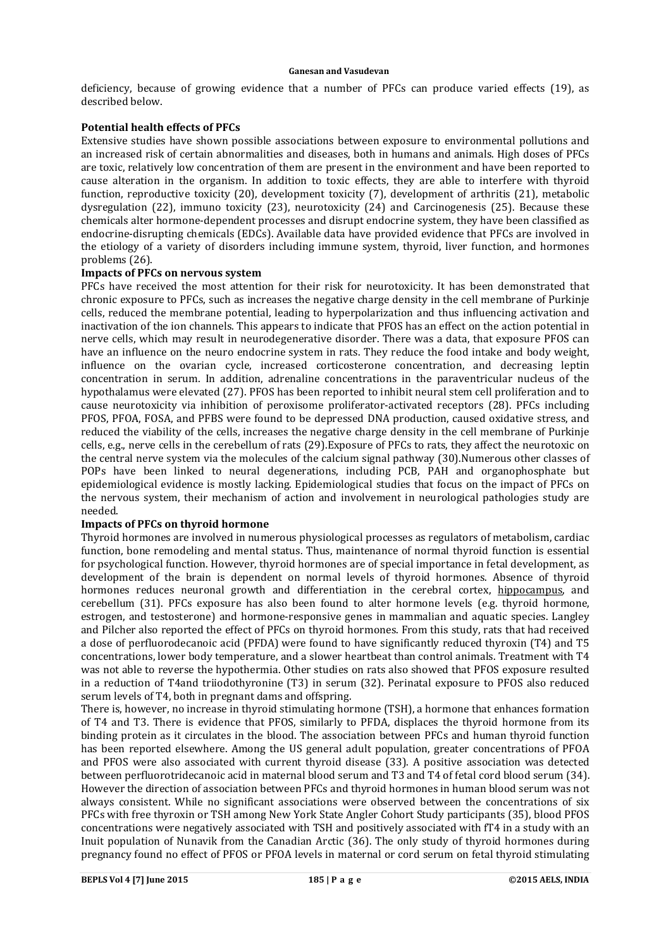deficiency, because of growing evidence that a number of PFCs can produce varied effects  $(19)$ , as described below.

## **Potential health effects of PFCs**

Extensive studies have shown possible associations between exposure to environmental pollutions and an increased risk of certain abnormalities and diseases, both in humans and animals. High doses of PFCs are toxic, relatively low concentration of them are present in the environment and have been reported to cause alteration in the organism. In addition to toxic effects, they are able to interfere with thyroid function, reproductive toxicity (20), development toxicity (7), development of arthritis (21), metabolic dysregulation  $(22)$ , immuno toxicity  $(23)$ , neurotoxicity  $(24)$  and Carcinogenesis  $(25)$ . Because these chemicals alter hormone-dependent processes and disrupt endocrine system, they have been classified as endocrine-disrupting chemicals (EDCs). Available data have provided evidence that PFCs are involved in the etiology of a variety of disorders including immune system, thyroid, liver function, and hormones problems (26).

#### **Impacts of PFCs on nervous system**

PFCs have received the most attention for their risk for neurotoxicity. It has been demonstrated that chronic exposure to PFCs, such as increases the negative charge density in the cell membrane of Purkinje cells, reduced the membrane potential, leading to hyperpolarization and thus influencing activation and inactivation of the ion channels. This appears to indicate that PFOS has an effect on the action potential in nerve cells, which may result in neurodegenerative disorder. There was a data, that exposure PFOS can have an influence on the neuro endocrine system in rats. They reduce the food intake and body weight, influence on the ovarian cycle, increased corticosterone concentration, and decreasing leptin concentration in serum. In addition, adrenaline concentrations in the paraventricular nucleus of the hypothalamus were elevated (27). PFOS has been reported to inhibit neural stem cell proliferation and to cause neurotoxicity via inhibition of peroxisome proliferator-activated receptors (28). PFCs including PFOS, PFOA, FOSA, and PFBS were found to be depressed DNA production, caused oxidative stress, and reduced the viability of the cells, increases the negative charge density in the cell membrane of Purkinje cells, e.g., nerve cells in the cerebellum of rats (29).Exposure of PFCs to rats, they affect the neurotoxic on the central nerve system via the molecules of the calcium signal pathway (30).Numerous other classes of POPs have been linked to neural degenerations, including PCB, PAH and organophosphate but epidemiological evidence is mostly lacking. Epidemiological studies that focus on the impact of PFCs on the nervous system, their mechanism of action and involvement in neurological pathologies study are needed.

#### **Impacts of PFCs on thyroid hormone**

Thyroid hormones are involved in numerous physiological processes as regulators of metabolism, cardiac function, bone remodeling and mental status. Thus, maintenance of normal thyroid function is essential for psychological function. However, thyroid hormones are of special importance in fetal development, as development of the brain is dependent on normal levels of thyroid hormones. Absence of thyroid hormones reduces neuronal growth and differentiation in the cerebral cortex, hippocampus, and cerebellum (31). PFCs exposure has also been found to alter hormone levels (e.g. thyroid hormone, estrogen, and testosterone) and hormone-responsive genes in mammalian and aquatic species. Langley and Pilcher also reported the effect of PFCs on thyroid hormones. From this study, rats that had received a dose of perfluorodecanoic acid (PFDA) were found to have significantly reduced thyroxin (T4) and T5 concentrations, lower body temperature, and a slower heartbeat than control animals. Treatment with T4 was not able to reverse the hypothermia. Other studies on rats also showed that PFOS exposure resulted in a reduction of T4and triiodothyronine (T3) in serum (32). Perinatal exposure to PFOS also reduced serum levels of T4, both in pregnant dams and offspring.

There is, however, no increase in thyroid stimulating hormone (TSH), a hormone that enhances formation of T4 and T3. There is evidence that PFOS, similarly to PFDA, displaces the thyroid hormone from its binding protein as it circulates in the blood. The association between PFCs and human thyroid function has been reported elsewhere. Among the US general adult population, greater concentrations of PFOA and PFOS were also associated with current thyroid disease (33). A positive association was detected between perfluorotridecanoic acid in maternal blood serum and T3 and T4 of fetal cord blood serum (34). However the direction of association between PFCs and thyroid hormones in human blood serum was not always consistent. While no significant associations were observed between the concentrations of six PFCs with free thyroxin or TSH among New York State Angler Cohort Study participants (35), blood PFOS concentrations were negatively associated with TSH and positively associated with fT4 in a study with an Inuit population of Nunavik from the Canadian Arctic (36). The only study of thyroid hormones during pregnancy found no effect of PFOS or PFOA levels in maternal or cord serum on fetal thyroid stimulating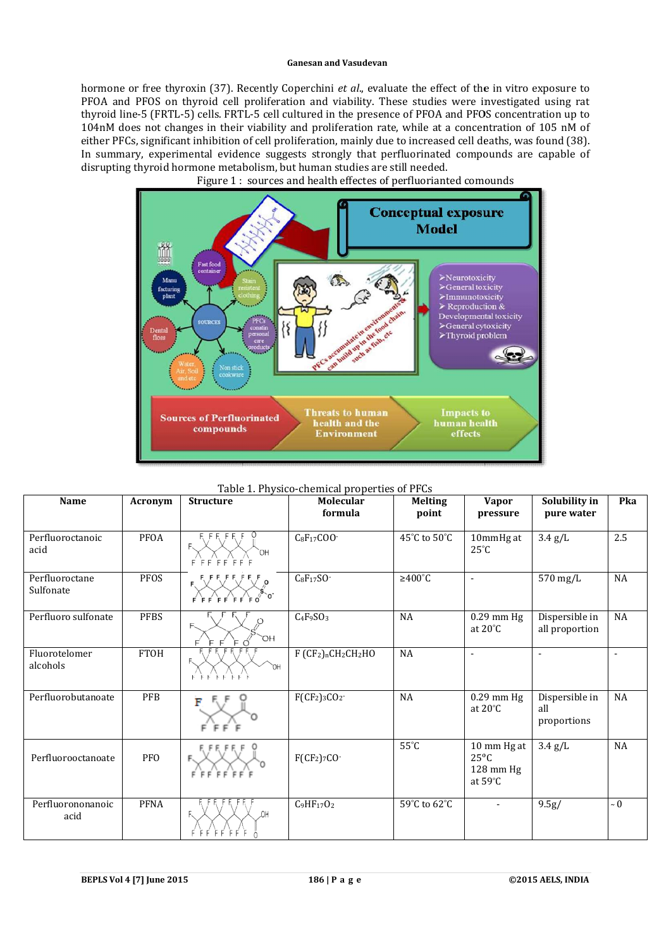hormone or free thyroxin (37). Recently Coperchini et al., evaluate the effect of the in vitro exposure to PFOA and PFOS on thyroid cell proliferation and viability. These studies were investigated using rat thyroid line-5 (FRTL-5) cells. FRTL-5 cell cultured in the presence of PFOA and PFOS concentration up to hormone or free thyroxin (37). Recently Coperchini *et al.*, evaluate the effect of the in vitro exposure to PFOA and PFOS on thyroid cell proliferation and viability. These studies were investigated using rat thyroid line either PFCs, significant inhibition of cell proliferation, mainly due to increased cell deaths, was found (38). In summary, experimental evidence suggests strongly that perfluorinated compounds are capable of disrupting thyroid hormone metabolism, but human studies are still needed.



Figure 1: sources and health effectes of perfluorianted comounds

| <b>Name</b>                 |             | <b>Structure</b>                | Table 1. Physico-chemical properties of PFCs<br>Molecular | <b>Melting</b>       |                                                                           | Solubility in                        | Pka      |
|-----------------------------|-------------|---------------------------------|-----------------------------------------------------------|----------------------|---------------------------------------------------------------------------|--------------------------------------|----------|
|                             | Acronym     |                                 | formula                                                   | point                | <b>Vapor</b><br>pressure                                                  | pure water                           |          |
|                             |             |                                 |                                                           |                      |                                                                           |                                      |          |
| Perfluoroctanoic<br>acid    | PFOA        | `OH<br>$F$ FFFFFFFF             | $C_8F_{17}COO$                                            | 45°C to 50°C         | 10mmHg at<br>$25^{\circ}C$                                                | $3.4$ g/L                            | 2.5      |
| Perfluoroctane<br>Sulfonate | PFOS        | $F$ $F$ $F$ $F$ $F$ $F$ $F$ $O$ | $C_8F_{17}SO^{-}$                                         | $\geq 400^{\circ}$ C | $\blacksquare$                                                            | 570 mg/L                             | NA       |
| Perfluoro sulfonate         | <b>PFBS</b> | F.<br>`OH<br>F                  | $C_4F_9SO_3$                                              | NA                   | $0.29$ mm Hg<br>at $20^{\circ}$ C                                         | Dispersible in<br>all proportion     | $\rm NA$ |
| Fluorotelomer<br>alcohols   | <b>FTOH</b> | ОH                              | F (CF2)nCH2CH2HO                                          | NA                   | $\blacksquare$                                                            | $\blacksquare$                       |          |
| Perfluorobutanoate          | PFB         | F                               | $F(CF2)3CO2$                                              | $\rm NA$             | $0.29$ mm Hg<br>at $20^{\circ}$ C                                         | Dispersible in<br>all<br>proportions | $\rm NA$ |
| Perfluorooctanoate          | <b>PFO</b>  | FFFFFFF                         | $F(CF_2)$ 7CO-                                            | $55^{\circ}$ C       | 10 mm Hg at<br>$25^{\circ}$ C<br>$128 \text{ mm Hg}$<br>at $59^{\circ}$ C | $3.4$ g/L                            | NA       |
| Perfluorononanoic<br>acid   | <b>PFNA</b> | .OH                             | $C_9HF_{17}O_2$                                           | 59°C to 62°C         |                                                                           | 9.5g/                                | $\sim 0$ |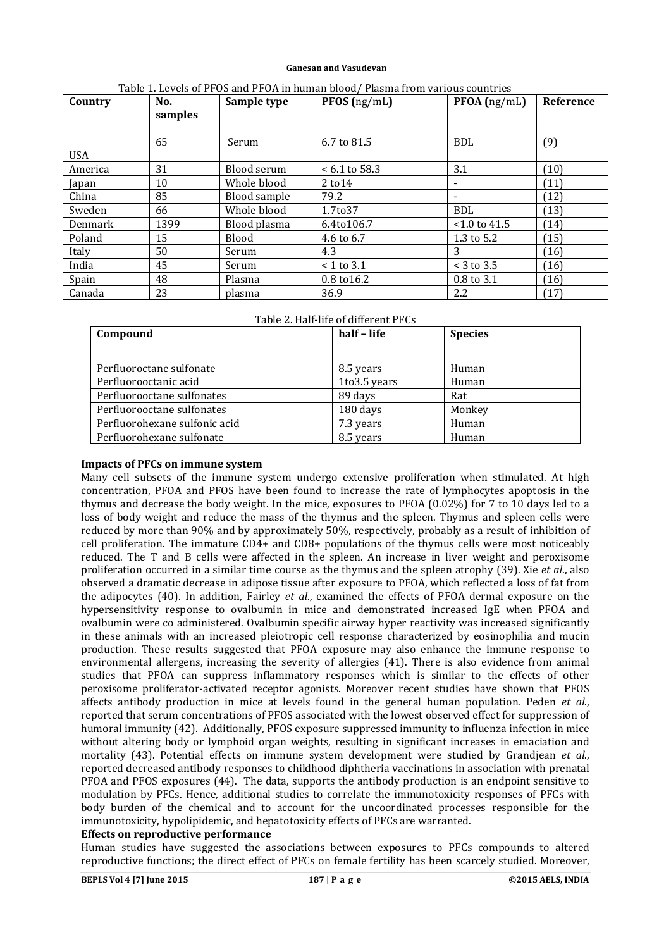| Country    | No.<br>samples | Sample type  | $PFOS$ (ng/mL)     | $PFOA$ (ng/mL)  | Reference |
|------------|----------------|--------------|--------------------|-----------------|-----------|
|            |                |              |                    |                 |           |
|            | 65             | Serum        | 6.7 to 81.5        | <b>BDL</b>      | (9)       |
| <b>USA</b> |                |              |                    |                 |           |
| America    | 31             | Blood serum  | $< 6.1$ to 58.3    | 3.1             | (10)      |
| Japan      | 10             | Whole blood  | $2 \text{ to } 14$ |                 | (11)      |
| China      | 85             | Blood sample | 79.2               |                 | (12)      |
| Sweden     | 66             | Whole blood  | 1.7to37            | <b>BDL</b>      | (13)      |
| Denmark    | 1399           | Blood plasma | 6.4to106.7         | $< 1.0$ to 41.5 | (14)      |
| Poland     | 15             | Blood        | 4.6 to 6.7         | 1.3 to $5.2$    | (15)      |
| Italy      | 50             | Serum        | 4.3                | 3               | (16)      |
| India      | 45             | Serum        | $<$ 1 to 3.1       | $<$ 3 to 3.5    | (16)      |
| Spain      | 48             | Plasma       | 0.8 to 16.2        | 0.8 to 3.1      | (16)      |
| Canada     | 23             | plasma       | 36.9               | 2.2             | (17)      |

| Table 1. Levels of PFOS and PFOA in human blood/ Plasma from various countries |  |
|--------------------------------------------------------------------------------|--|
|--------------------------------------------------------------------------------|--|

| Compound                      | half - life  | <b>Species</b> |
|-------------------------------|--------------|----------------|
|                               |              |                |
| Perfluoroctane sulfonate      | 8.5 years    | Human          |
| Perfluorooctanic acid         | 1to3.5 years | Human          |
| Perfluorooctane sulfonates    | 89 days      | Rat            |
| Perfluorooctane sulfonates    | 180 days     | Monkey         |
| Perfluorohexane sulfonic acid | 7.3 years    | Human          |
| Perfluorohexane sulfonate     | 8.5 years    | Human          |

#### **Impacts of PFCs on immune system**

Many cell subsets of the immune system undergo extensive proliferation when stimulated. At high concentration. PFOA and PFOS have been found to increase the rate of lymphocytes apoptosis in the thymus and decrease the body weight. In the mice, exposures to PFOA  $(0.02\%)$  for 7 to 10 days led to a loss of body weight and reduce the mass of the thymus and the spleen. Thymus and spleen cells were reduced by more than 90% and by approximately 50%, respectively, probably as a result of inhibition of cell proliferation. The immature CD4+ and CD8+ populations of the thymus cells were most noticeably reduced. The T and B cells were affected in the spleen. An increase in liver weight and peroxisome proliferation occurred in a similar time course as the thymus and the spleen atrophy (39). Xie *et al.*, also observed a dramatic decrease in adipose tissue after exposure to PFOA, which reflected a loss of fat from the adipocytes (40). In addition, Fairley *et al.*, examined the effects of PFOA dermal exposure on the hypersensitivity response to ovalbumin in mice and demonstrated increased IgE when PFOA and ovalbumin were co administered. Ovalbumin specific airway hyper reactivity was increased significantly in these animals with an increased pleiotropic cell response characterized by eosinophilia and mucin production. These results suggested that PFOA exposure may also enhance the immune response to environmental allergens, increasing the severity of allergies (41). There is also evidence from animal studies that PFOA can suppress inflammatory responses which is similar to the effects of other peroxisome proliferator-activated receptor agonists. Moreover recent studies have shown that PFOS affects antibody production in mice at levels found in the general human population. Peden *et al.*, reported that serum concentrations of PFOS associated with the lowest observed effect for suppression of humoral immunity (42). Additionally, PFOS exposure suppressed immunity to influenza infection in mice without altering body or lymphoid organ weights, resulting in significant increases in emaciation and mortality (43). Potential effects on immune system development were studied by Grandjean *et al.*, reported decreased antibody responses to childhood diphtheria vaccinations in association with prenatal PFOA and PFOS exposures (44). The data, supports the antibody production is an endpoint sensitive to modulation by PFCs. Hence, additional studies to correlate the immunotoxicity responses of PFCs with body burden of the chemical and to account for the uncoordinated processes responsible for the immunotoxicity, hypolipidemic, and hepatotoxicity effects of PFCs are warranted.

### **Effects on reproductive performance**

Human studies have suggested the associations between exposures to PFCs compounds to altered reproductive functions; the direct effect of PFCs on female fertility has been scarcely studied. Moreover,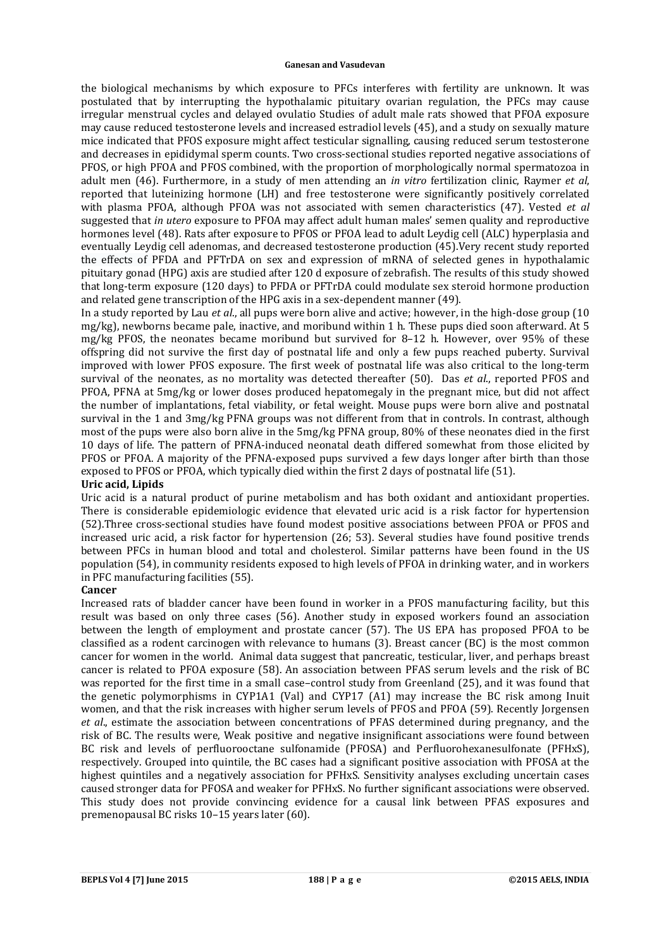the biological mechanisms by which exposure to PFCs interferes with fertility are unknown. It was postulated that by interrupting the hypothalamic pituitary ovarian regulation, the PFCs may cause irregular menstrual cycles and delayed ovulatio Studies of adult male rats showed that PFOA exposure may cause reduced testosterone levels and increased estradiol levels (45), and a study on sexually mature mice indicated that PFOS exposure might affect testicular signalling, causing reduced serum testosterone and decreases in epididymal sperm counts. Two cross-sectional studies reported negative associations of PFOS, or high PFOA and PFOS combined, with the proportion of morphologically normal spermatozoa in adult men (46). Furthermore, in a study of men attending an *in vitro* fertilization clinic. Raymer *et al.* reported that luteinizing hormone (LH) and free testosterone were significantly positively correlated with plasma PFOA, although PFOA was not associated with semen characteristics (47). Vested *et al* suggested that *in utero* exposure to PFOA may affect adult human males' semen quality and reproductive hormones level (48). Rats after exposure to PFOS or PFOA lead to adult Leydig cell (ALC) hyperplasia and eventually Leydig cell adenomas, and decreased testosterone production (45). Very recent study reported the effects of PFDA and PFTrDA on sex and expression of mRNA of selected genes in hypothalamic pituitary gonad (HPG) axis are studied after 120 d exposure of zebrafish. The results of this study showed that long-term exposure (120 days) to PFDA or PFTrDA could modulate sex steroid hormone production and related gene transcription of the HPG axis in a sex-dependent manner  $(49)$ .

In a study reported by Lau *et al.*, all pups were born alive and active; however, in the high-dose group (10)  $mg/kg$ ), newborns became pale, inactive, and moribund within 1 h. These pups died soon afterward. At 5 mg/kg PFOS, the neonates became moribund but survived for 8–12 h. However, over 95% of these offspring did not survive the first day of postnatal life and only a few pups reached puberty. Survival improved with lower PFOS exposure. The first week of postnatal life was also critical to the long-term survival of the neonates, as no mortality was detected thereafter (50). Das *et al.*, reported PFOS and PFOA, PFNA at 5mg/kg or lower doses produced hepatomegaly in the pregnant mice, but did not affect the number of implantations, fetal viability, or fetal weight. Mouse pups were born alive and postnatal survival in the 1 and 3mg/kg PFNA groups was not different from that in controls. In contrast, although most of the pups were also born alive in the  $5mg/kg$  PFNA group, 80% of these neonates died in the first 10 days of life. The pattern of PFNA-induced neonatal death differed somewhat from those elicited by PFOS or PFOA. A majority of the PFNA-exposed pups survived a few days longer after birth than those exposed to PFOS or PFOA, which typically died within the first 2 days of postnatal life (51).

## **Uric acid, Lipids**

Uric acid is a natural product of purine metabolism and has both oxidant and antioxidant properties. There is considerable epidemiologic evidence that elevated uric acid is a risk factor for hypertension (52).Three cross-sectional studies have found modest positive associations between PFOA or PFOS and increased uric acid, a risk factor for hypertension  $(26; 53)$ . Several studies have found positive trends between PFCs in human blood and total and cholesterol. Similar patterns have been found in the US population (54), in community residents exposed to high levels of PFOA in drinking water, and in workers in PFC manufacturing facilities (55).

## **Cancer**

Increased rats of bladder cancer have been found in worker in a PFOS manufacturing facility, but this result was based on only three cases (56). Another study in exposed workers found an association between the length of employment and prostate cancer (57). The US EPA has proposed PFOA to be classified as a rodent carcinogen with relevance to humans  $(3)$ . Breast cancer  $(BC)$  is the most common cancer for women in the world. Animal data suggest that pancreatic, testicular, liver, and perhaps breast cancer is related to PFOA exposure (58). An association between PFAS serum levels and the risk of BC was reported for the first time in a small case–control study from Greenland (25), and it was found that the genetic polymorphisms in CYP1A1 (Val) and CYP17 (A1) may increase the BC risk among Inuit women, and that the risk increases with higher serum levels of PFOS and PFOA (59). Recently Jorgensen *et al.*, estimate the association between concentrations of PFAS determined during pregnancy, and the risk of BC. The results were, Weak positive and negative insignificant associations were found between BC risk and levels of perfluorooctane sulfonamide (PFOSA) and Perfluorohexanesulfonate (PFHxS), respectively. Grouped into quintile, the BC cases had a significant positive association with PFOSA at the highest quintiles and a negatively association for PFHxS. Sensitivity analyses excluding uncertain cases caused stronger data for PFOSA and weaker for PFHxS. No further significant associations were observed. This study does not provide convincing evidence for a causal link between PFAS exposures and premenopausal BC risks 10–15 years later (60).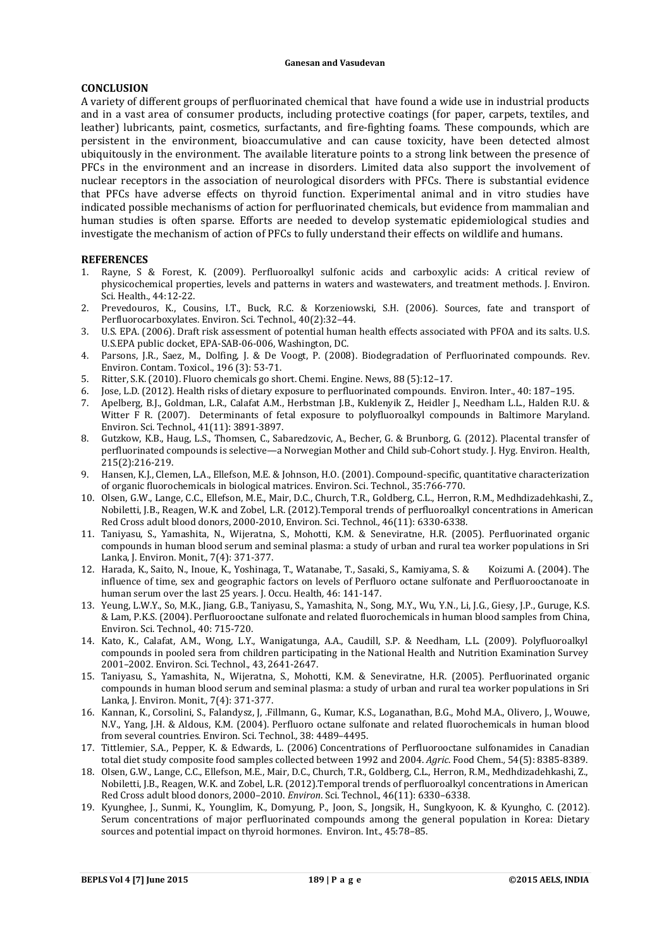#### **CONCLUSION**

A variety of different groups of perfluorinated chemical that have found a wide use in industrial products and in a vast area of consumer products, including protective coatings (for paper, carpets, textiles, and leather) lubricants, paint, cosmetics, surfactants, and fire-fighting foams. These compounds, which are persistent in the environment, bioaccumulative and can cause toxicity, have been detected almost ubiquitously in the environment. The available literature points to a strong link between the presence of PFCs in the environment and an increase in disorders. Limited data also support the involvement of nuclear receptors in the association of neurological disorders with PFCs. There is substantial evidence that PFCs have adverse effects on thyroid function. Experimental animal and in vitro studies have indicated possible mechanisms of action for perfluorinated chemicals, but evidence from mammalian and human studies is often sparse. Efforts are needed to develop systematic epidemiological studies and investigate the mechanism of action of PFCs to fully understand their effects on wildlife and humans.

## **REFERENCES**

- 1. Rayne, S & Forest, K. (2009). Perfluoroalkyl sulfonic acids and carboxylic acids: A critical review of physicochemical properties, levels and patterns in waters and wastewaters, and treatment methods. I. Environ. Sci. Health.*,* 44:12-22.
- 2. Prevedouros, K., Cousins, I.T., Buck, R.C. & Korzeniowski, S.H. (2006). Sources, fate and transport of Perfluorocarboxylates. Environ. Sci. Technol.*,* 40(2):32–44.
- 3. U.S. EPA. (2006). Draft risk assessment of potential human health effects associated with PFOA and its salts. U.S. U.S.EPA public docket, EPA-SAB-06-006, Washington, DC.
- 4. Parsons, J.R., Saez, M., Dolfing, J. & De Voogt, P. (2008). Biodegradation of Perfluorinated compounds. Rev. Environ. Contam. Toxicol., 196 (3): 53-71.
- 5. Ritter, S.K. (2010). Fluoro chemicals go short. Chemi. Engine. News, 88 (5):12–17.
- 6. Jose, L.D. (2012). Health risks of dietary exposure to perfluorinated compounds. Environ. Inter., 40: 187-195.
- 7. Apelberg, B.J., Goldman, L.R., Calafat A.M., Herbstman J.B., Kuklenyik Z., Heidler J., Needham L.L., Halden R.U. & Witter F R. (2007). Determinants of fetal exposure to polyfluoroalkyl compounds in Baltimore Maryland. Environ. Sci. Technol., 41(11): 3891-3897.
- 8. Gutzkow, K.B., Haug, L.S., Thomsen, C., Sabaredzovic, A., Becher, G. & Brunborg, G. (2012). Placental transfer of perfluorinated compounds is selective—a Norwegian Mother and Child sub-Cohort study. I. Hyg. Environ. Health, 215(2):216-219.
- 9. Hansen, K.J., Clemen, L.A., Ellefson, M.E. & Johnson, H.O. (2001). Compound-specific, quantitative characterization of organic fluorochemicals in biological matrices. Environ. Sci. Technol., 35:766-770.
- 10. Olsen, G.W., Lange, C.C., Ellefson, M.E., Mair, D.C., Church, T.R., Goldberg, C.L., Herron, R.M., Medhdizadehkashi, Z., Nobiletti, J.B., Reagen, W.K. and Zobel, L.R. (2012).Temporal trends of perfluoroalkyl concentrations in American Red Cross adult blood donors, 2000-2010, Environ. Sci. Technol., 46(11): 6330-6338.
- 11. Taniyasu, S., Yamashita, N., Wijeratna, S., Mohotti, K.M. & Seneviratne, H.R. (2005). Perfluorinated organic compounds in human blood serum and seminal plasma: a study of urban and rural tea worker populations in Sri Lanka, J. Environ. Monit., 7(4): 371-377.
- 12. Harada, K., Saito, N., Inoue, K., Yoshinaga, T., Watanabe, T., Sasaki, S., Kamiyama, S. & Koizumi A. (2004). The influence of time, sex and geographic factors on levels of Perfluoro octane sulfonate and Perfluorooctanoate in human serum over the last 25 years. J. Occu. Health, 46: 141-147.
- 13. Yeung, L.W.Y., So, M.K., Jiang, G.B., Taniyasu, S., Yamashita, N., Song, M.Y., Wu, Y.N., Li, J.G., Giesy, J.P., Guruge, K.S. & Lam, P.K.S. (2004). Perfluorooctane sulfonate and related fluorochemicals in human blood samples from China, Environ. Sci. Technol.*,* 40: 715-720.
- 14. Kato, K., Calafat, A.M., Wong, L.Y., Wanigatunga, A.A., Caudill, S.P. & Needham, L.L. (2009). Polyfluoroalkyl compounds in pooled sera from children participating in the National Health and Nutrition Examination Survey 2001-2002. Environ. Sci. Technol., 43, 2641-2647.
- 15. Taniyasu, S., Yamashita, N., Wijeratna, S., Mohotti, K.M. & Seneviratne, H.R. (2005). Perfluorinated organic compounds in human blood serum and seminal plasma: a study of urban and rural tea worker populations in Sri Lanka, J. Environ. Monit., 7(4): 371-377.
- 16. Kannan, K., Corsolini, S., Falandysz, J. .Fillmann, G., Kumar, K.S., Loganathan, B.G., Mohd M.A., Olivero, J., Wouwe, N.V., Yang, J.H. & Aldous, K.M. (2004). Perfluoro octane sulfonate and related fluorochemicals in human blood from several countries. Environ. Sci. Technol., 38: 4489-4495.
- 17. Tittlemier, S.A., Pepper, K. & Edwards, L. (2006) Concentrations of Perfluorooctane sulfonamides in Canadian total diet study composite food samples collected between 1992 and 2004. *Agric*. Food Chem*.,* 54(5): 8385-8389.
- 18. Olsen, G.W., Lange, C.C., Ellefson, M.E., Mair, D.C., Church, T.R., Goldberg, C.L., Herron, R.M., Medhdizadehkashi, Z., Nobiletti, J.B., Reagen, W.K. and Zobel, L.R. (2012).Temporal trends of perfluoroalkyl concentrations in American Red Cross adult blood donors, 2000-2010. *Environ*. Sci. Technol., 46(11): 6330-6338.
- 19. Kyunghee, J., Sunmi, K., Younglim, K., Domyung, P., Joon, S., Jongsik, H., Sungkyoon, K. & Kyungho, C. (2012). Serum concentrations of major perfluorinated compounds among the general population in Korea: Dietary sources and potential impact on thyroid hormones. Environ. Int., 45:78-85.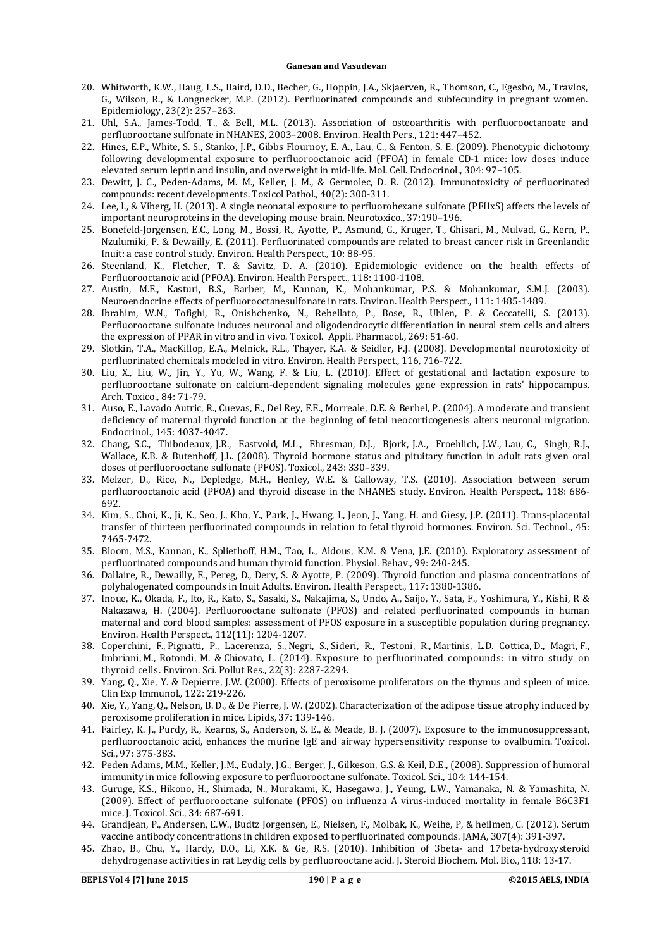- 20. Whitworth, K.W., Haug, L.S., Baird, D.D., Becher, G., Hoppin, J.A., Skjaerven, R., Thomson, C., Egesbo, M., Travlos, G., Wilson, R., & Longnecker, M.P. (2012). Perfluorinated compounds and subfecundity in pregnant women. Epidemiology, 23(2): 257–263.
- 21. Uhl, S.A., James-Todd, T., & Bell, M.L. (2013). Association of osteoarthritis with perfluorooctanoate and perfluorooctane sulfonate in NHANES, 2003–2008. Environ. Health Pers., 121: 447–452.
- 22. Hines, E.P., White, S. S., Stanko, J.P., Gibbs Flournoy, E. A., Lau, C., & Fenton, S. E. (2009). Phenotypic dichotomy following developmental exposure to perfluorooctanoic acid (PFOA) in female CD-1 mice: low doses induce elevated serum leptin and insulin, and overweight in mid-life. Mol. Cell. Endocrinol., 304: 97-105.
- 23. Dewitt, J. C., Peden-Adams, M. M., Keller, J. M., & Germolec, D. R. (2012). Immunotoxicity of perfluorinated compounds: recent developments. Toxicol Pathol., 40(2): 300-311.
- 24. Lee, I., & Viberg, H. (2013). A single neonatal exposure to perfluorohexane sulfonate (PFHxS) affects the levels of important neuroproteins in the developing mouse brain. Neurotoxico., 37:190-196.
- 25. Bonefeld-Jorgensen, E.C., Long, M., Bossi, R., Ayotte, P., Asmund, G., Kruger, T., Ghisari, M., Mulvad, G., Kern, P., Nzulumiki, P. & Dewailly, E. (2011). Perfluorinated compounds are related to breast cancer risk in Greenlandic Inuit: a case control study. Environ. Health Perspect., 10: 88-95.
- 26. Steenland, K., Fletcher, T. & Savitz, D. A. (2010). Epidemiologic evidence on the health effects of Perfluorooctanoic acid (PFOA). Environ. Health Perspect., 118: 1100-1108.
- 27. Austin, M.E., Kasturi, B.S., Barber, M., Kannan, K., Mohankumar, P.S. & Mohankumar, S.M.J. (2003). Neuroendocrine effects of perfluorooctanesulfonate in rats. Environ. Health Perspect., 111: 1485-1489.
- 28. Ibrahim, W.N., Tofighi, R., Onishchenko, N., Rebellato, P., Bose, R., Uhlen, P. & Ceccatelli, S. (2013). Perfluorooctane sulfonate induces neuronal and oligodendrocytic differentiation in neural stem cells and alters the expression of PPAR in vitro and in vivo. Toxicol. Appli. Pharmacol., 269: 51-60.
- 29. Slotkin, T.A., MacKillop, E.A., Melnick, R.L., Thayer, K.A. & Seidler, F.J. (2008). Developmental neurotoxicity of perfluorinated chemicals modeled in vitro. Environ. Health Perspect., 116, 716-722.
- 30. Liu, X., Liu, W., Jin, Y., Yu, W., Wang, F. & Liu, L. (2010). Effect of gestational and lactation exposure to perfluorooctane sulfonate on calcium-dependent signaling molecules gene expression in rats' hippocampus. Arch*.* Toxico., 84: 71-79.
- 31. Auso, E., Lavado Autric, R., Cuevas, E., Del Rey, F.E., Morreale, D.E. & Berbel, P. (2004). A moderate and transient deficiency of maternal thyroid function at the beginning of fetal neocorticogenesis alters neuronal migration. Endocrinol., 145: 4037-4047.
- 32. Chang, S.C., Thibodeaux, J.R., Eastvold, M.L., Ehresman, D.J., Bjork, J.A., Froehlich, J.W., Lau, C., Singh, R.J., Wallace, K.B. & Butenhoff, J.L. (2008). Thyroid hormone status and pituitary function in adult rats given oral doses of perfluorooctane sulfonate (PFOS). Toxicol., 243: 330-339.
- 33. Melzer, D., Rice, N., Depledge, M.H., Henley, W.E. & Galloway, T.S. (2010). Association between serum perfluorooctanoic acid (PFOA) and thyroid disease in the NHANES study. Environ. Health Perspect., 118: 686-692.
- 34. Kim, S., Choi, K., Ji, K., Seo, J., Kho, Y., Park, J., Hwang, I., Jeon, J., Yang, H. and Giesy, J.P. (2011). Trans-placental transfer of thirteen perfluorinated compounds in relation to fetal thyroid hormones. Environ. Sci. Technol., 45: 7465-7472.
- 35. Bloom, M.S., Kannan, K., Spliethoff, H.M., Tao, L., Aldous, K.M. & Vena, J.E. (2010). Exploratory assessment of perfluorinated compounds and human thyroid function. Physiol. Behav., 99: 240-245.
- 36. Dallaire, R., Dewailly, E., Pereg, D., Dery, S. & Ayotte, P. (2009). Thyroid function and plasma concentrations of polyhalogenated compounds in Inuit Adults. Environ. Health Perspect., 117: 1380-1386.
- 37. Inoue, K., Okada, F., Ito, R., Kato, S., Sasaki, S., Nakajima, S., Undo, A., Saijo, Y., Sata, F., Yoshimura, Y., Kishi, R & Nakazawa, H. (2004). Perfluorooctane sulfonate (PFOS) and related perfluorinated compounds in human maternal and cord blood samples: assessment of PFOS exposure in a susceptible population during pregnancy. Environ. Health Perspect., 112(11): 1204-1207.
- 38. Coperchini, F., Pignatti, P., Lacerenza, S., Negri, S., Sideri, R., Testoni, R., Martinis, L.D. Cottica, D., Magri, F., Imbriani, M., Rotondi, M. & Chiovato, L. (2014). Exposure to perfluorinated compounds: in vitro study on thyroid cells. Environ. Sci. Pollut Res., 22(3): 2287-2294.
- 39. Yang, Q., Xie, Y. & Depierre, J.W. (2000). Effects of peroxisome proliferators on the thymus and spleen of mice. Clin Exp Immunol*.,* 122: 219-226.
- 40. Xie, Y., Yang, O., Nelson, B. D., & De Pierre, J. W. (2002). Characterization of the adipose tissue atrophy induced by peroxisome proliferation in mice. Lipids, 37: 139-146.
- 41. Fairley, K. J., Purdy, R., Kearns, S., Anderson, S. E., & Meade, B. J. (2007). Exposure to the immunosuppressant, perfluorooctanoic acid, enhances the murine IgE and airway hypersensitivity response to ovalbumin. Toxicol. Sci., 97: 375-383.
- 42. Peden Adams, M.M., Keller, J.M., Eudaly, J.G., Berger, J., Gilkeson, G.S. & Keil, D.E., (2008). Suppression of humoral immunity in mice following exposure to perfluorooctane sulfonate. Toxicol. Sci., 104: 144-154.
- 43. Guruge, K.S., Hikono, H., Shimada, N., Murakami, K., Hasegawa, J., Yeung, L.W., Yamanaka, N. & Yamashita, N. (2009). Effect of perfluorooctane sulfonate (PFOS) on influenza A virus-induced mortality in female B6C3F1 mice. J. Toxicol. Sci., 34: 687-691.
- 44. Grandjean, P., Andersen, E.W., Budtz Jorgensen, E., Nielsen, F., Molbak, K., Weihe, P, & heilmen, C. (2012). Serum vaccine antibody concentrations in children exposed to perfluorinated compounds. JAMA, 307(4): 391-397.
- 45. Zhao, B., Chu, Y., Hardy, D.O., Li, X.K. & Ge, R.S. (2010). Inhibition of 3beta- and 17beta-hydroxysteroid dehydrogenase activities in rat Leydig cells by perfluorooctane acid. J. Steroid Biochem. Mol. Bio., 118: 13-17.